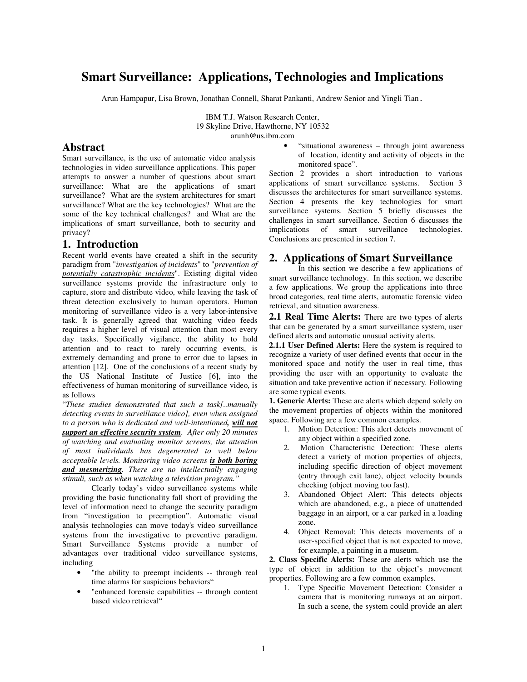# **Smart Surveillance: Applications, Technologies and Implications**

Arun Hampapur, Lisa Brown, Jonathan Connell, Sharat Pankanti, Andrew Senior and Yingli Tian.

IBM T.J. Watson Research Center, 19 Skyline Drive, Hawthorne, NY 10532 arunh@us.ibm.com

## **Abstract**

Smart surveillance, is the use of automatic video analysis technologies in video surveillance applications. This paper attempts to answer a number of questions about smart surveillance: What are the applications of smart surveillance? What are the system architectures for smart surveillance? What are the key technologies? What are the some of the key technical challenges? and What are the implications of smart surveillance, both to security and privacy?

## **1. Introduction**

Recent world events have created a shift in the security paradigm from "*investigation of incidents*" to "*prevention of potentially catastrophic incidents*". Existing digital video surveillance systems provide the infrastructure only to capture, store and distribute video, while leaving the task of threat detection exclusively to human operators. Human monitoring of surveillance video is a very labor-intensive task. It is generally agreed that watching video feeds requires a higher level of visual attention than most every day tasks. Specifically vigilance, the ability to hold attention and to react to rarely occurring events, is extremely demanding and prone to error due to lapses in attention [12]. One of the conclusions of a recent study by the US National Institute of Justice [6], into the effectiveness of human monitoring of surveillance video, is as follows

"*These studies demonstrated that such a task[..manually detecting events in surveillance video], even when assigned to a person who is dedicated and well-intentioned, will not support an effective security system. After only 20 minutes of watching and evaluating monitor screens, the attention of most individuals has degenerated to well below acceptable levels. Monitoring video screens is both boring and mesmerizing. There are no intellectually engaging stimuli, such as when watching a television program."*

Clearly today's video surveillance systems while providing the basic functionality fall short of providing the level of information need to change the security paradigm from "investigation to preemption". Automatic visual analysis technologies can move today's video surveillance systems from the investigative to preventive paradigm. Smart Surveillance Systems provide a number of advantages over traditional video surveillance systems, including

- "the ability to preempt incidents -- through real time alarms for suspicious behaviors"
- "enhanced forensic capabilities -- through content based video retrieval"

• "situational awareness – through joint awareness of location, identity and activity of objects in the monitored space".

Section 2 provides a short introduction to various applications of smart surveillance systems. Section 3 discusses the architectures for smart surveillance systems. Section 4 presents the key technologies for smart surveillance systems. Section 5 briefly discusses the challenges in smart surveillance. Section 6 discusses the implications of smart surveillance technologies. Conclusions are presented in section 7.

## **2. Applications of Smart Surveillance**

In this section we describe a few applications of smart surveillance technology. In this section, we describe a few applications. We group the applications into three broad categories, real time alerts, automatic forensic video retrieval, and situation awareness.

**2.1 Real Time Alerts:** There are two types of alerts that can be generated by a smart surveillance system, user defined alerts and automatic unusual activity alerts.

**2.1.1 User Defined Alerts:** Here the system is required to recognize a variety of user defined events that occur in the monitored space and notify the user in real time, thus providing the user with an opportunity to evaluate the situation and take preventive action if necessary. Following are some typical events.

**1. Generic Alerts:** These are alerts which depend solely on the movement properties of objects within the monitored space. Following are a few common examples.

- 1. Motion Detection: This alert detects movement of any object within a specified zone.
- 2. Motion Characteristic Detection: These alerts detect a variety of motion properties of objects, including specific direction of object movement (entry through exit lane), object velocity bounds checking (object moving too fast).
- 3. Abandoned Object Alert: This detects objects which are abandoned, e.g., a piece of unattended baggage in an airport, or a car parked in a loading zone.
- 4. Object Removal: This detects movements of a user-specified object that is not expected to move, for example, a painting in a museum.

**2. Class Specific Alerts:** These are alerts which use the type of object in addition to the object's movement properties. Following are a few common examples.

1. Type Specific Movement Detection: Consider a camera that is monitoring runways at an airport. In such a scene, the system could provide an alert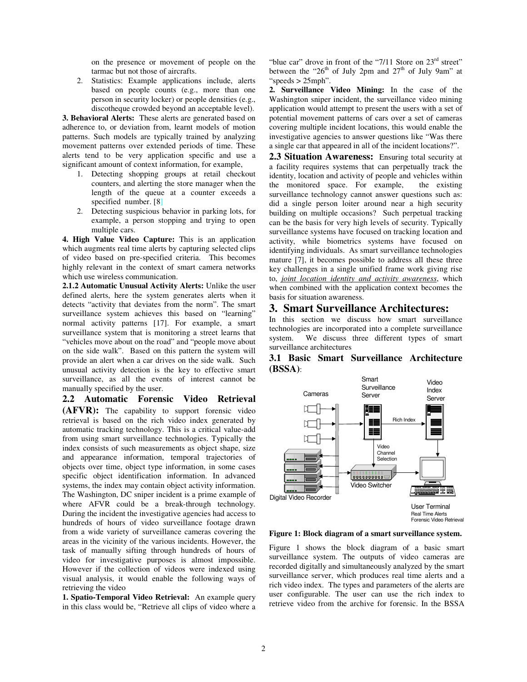on the presence or movement of people on the tarmac but not those of aircrafts.

2. Statistics: Example applications include, alerts based on people counts (e.g., more than one person in security locker) or people densities (e.g., discotheque crowded beyond an acceptable level).

**3. Behavioral Alerts:** These alerts are generated based on adherence to, or deviation from, learnt models of motion patterns. Such models are typically trained by analyzing movement patterns over extended periods of time. These alerts tend to be very application specific and use a significant amount of context information, for example,

- 1. Detecting shopping groups at retail checkout counters, and alerting the store manager when the length of the queue at a counter exceeds a specified number. [8]
- 2. Detecting suspicious behavior in parking lots, for example, a person stopping and trying to open multiple cars.

**4. High Value Video Capture:** This is an application which augments real time alerts by capturing selected clips of video based on pre-specified criteria. This becomes highly relevant in the context of smart camera networks which use wireless communication.

**2.1.2 Automatic Unusual Activity Alerts:** Unlike the user defined alerts, here the system generates alerts when it detects "activity that deviates from the norm". The smart surveillance system achieves this based on "learning" normal activity patterns [17]. For example, a smart surveillance system that is monitoring a street learns that "vehicles move about on the road" and "people move about on the side walk". Based on this pattern the system will provide an alert when a car drives on the side walk. Such unusual activity detection is the key to effective smart surveillance, as all the events of interest cannot be manually specified by the user.

**2.2 Automatic Forensic Video Retrieval (AFVR):** The capability to support forensic video retrieval is based on the rich video index generated by automatic tracking technology. This is a critical value-add from using smart surveillance technologies. Typically the index consists of such measurements as object shape, size and appearance information, temporal trajectories of objects over time, object type information, in some cases specific object identification information. In advanced systems, the index may contain object activity information. The Washington, DC sniper incident is a prime example of where AFVR could be a break-through technology. During the incident the investigative agencies had access to hundreds of hours of video surveillance footage drawn from a wide variety of surveillance cameras covering the areas in the vicinity of the various incidents. However, the task of manually sifting through hundreds of hours of video for investigative purposes is almost impossible. However if the collection of videos were indexed using visual analysis, it would enable the following ways of retrieving the video

**1. Spatio-Temporal Video Retrieval:** An example query in this class would be, "Retrieve all clips of video where a

"blue car" drove in front of the "7/11 Store on  $23<sup>rd</sup>$  street" between the "26<sup>th</sup> of July 2pm and 27<sup>th</sup> of July 9am" at "speeds > 25mph".

**2. Surveillance Video Mining:** In the case of the Washington sniper incident, the surveillance video mining application would attempt to present the users with a set of potential movement patterns of cars over a set of cameras covering multiple incident locations, this would enable the investigative agencies to answer questions like "Was there a single car that appeared in all of the incident locations?".

**2.3 Situation Awareness:** Ensuring total security at a facility requires systems that can perpetually track the identity, location and activity of people and vehicles within the monitored space. For example, the existing surveillance technology cannot answer questions such as: did a single person loiter around near a high security building on multiple occasions? Such perpetual tracking can be the basis for very high levels of security. Typically surveillance systems have focused on tracking location and activity, while biometrics systems have focused on identifying individuals. As smart surveillance technologies mature [7], it becomes possible to address all these three key challenges in a single unified frame work giving rise to, *joint location identity and activity awareness*, which when combined with the application context becomes the basis for situation awareness.

#### **3. Smart Surveillance Architectures:**

In this section we discuss how smart surveillance technologies are incorporated into a complete surveillance system. We discuss three different types of smart surveillance architectures



**3.1 Basic Smart Surveillance Architecture (BSSA)**:

**Figure 1: Block diagram of a smart surveillance system.**

Figure 1 shows the block diagram of a basic smart surveillance system. The outputs of video cameras are recorded digitally and simultaneously analyzed by the smart surveillance server, which produces real time alerts and a rich video index. The types and parameters of the alerts are user configurable. The user can use the rich index to retrieve video from the archive for forensic. In the BSSA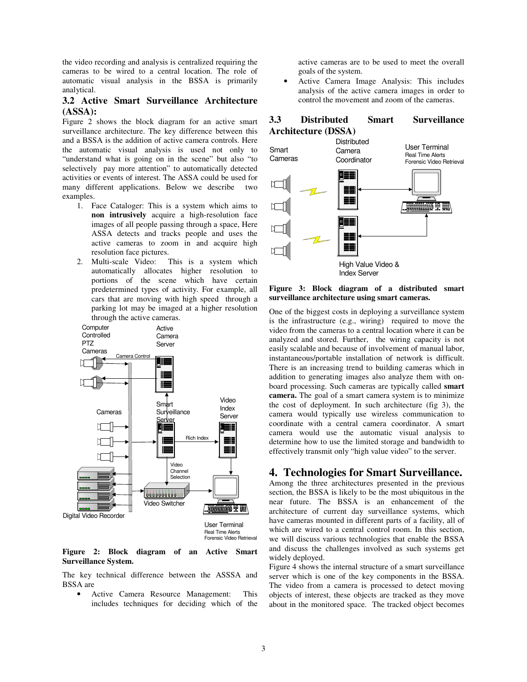the video recording and analysis is centralized requiring the cameras to be wired to a central location. The role of automatic visual analysis in the BSSA is primarily analytical.

### **3.2 Active Smart Surveillance Architecture (ASSA):**

Figure 2 shows the block diagram for an active smart surveillance architecture. The key difference between this and a BSSA is the addition of active camera controls. Here the automatic visual analysis is used not only to "understand what is going on in the scene" but also "to selectively pay more attention" to automatically detected activities or events of interest. The ASSA could be used for many different applications. Below we describe two examples.

- 1. Face Cataloger: This is a system which aims to **non intrusively** acquire a high-resolution face images of all people passing through a space, Here ASSA detects and tracks people and uses the active cameras to zoom in and acquire high resolution face pictures.
- 2. Multi-scale Video: This is a system which automatically allocates higher resolution to portions of the scene which have certain predetermined types of activity. For example, all cars that are moving with high speed through a parking lot may be imaged at a higher resolution through the active cameras.



**Figure 2: Block diagram of an Active Smart Surveillance System.**

The key technical difference between the ASSSA and BSSA are

• Active Camera Resource Management: This includes techniques for deciding which of the active cameras are to be used to meet the overall goals of the system.

• Active Camera Image Analysis: This includes analysis of the active camera images in order to control the movement and zoom of the cameras.

## **3.3 Distributed Smart Surveillance Architecture (DSSA)**



**Figure 3: Block diagram of a distributed smart surveillance architecture using smart cameras.**

One of the biggest costs in deploying a surveillance system is the infrastructure (e.g., wiring) required to move the video from the cameras to a central location where it can be analyzed and stored. Further, the wiring capacity is not easily scalable and because of involvement of manual labor, instantaneous/portable installation of network is difficult. There is an increasing trend to building cameras which in addition to generating images also analyze them with onboard processing. Such cameras are typically called **smart camera.** The goal of a smart camera system is to minimize the cost of deployment. In such architecture (fig 3), the camera would typically use wireless communication to coordinate with a central camera coordinator. A smart camera would use the automatic visual analysis to determine how to use the limited storage and bandwidth to effectively transmit only "high value video" to the server.

## **4. Technologies for Smart Surveillance.**

Among the three architectures presented in the previous section, the BSSA is likely to be the most ubiquitous in the near future. The BSSA is an enhancement of the architecture of current day surveillance systems, which have cameras mounted in different parts of a facility, all of which are wired to a central control room. In this section, we will discuss various technologies that enable the BSSA and discuss the challenges involved as such systems get widely deployed.

Figure 4 shows the internal structure of a smart surveillance server which is one of the key components in the BSSA. The video from a camera is processed to detect moving objects of interest, these objects are tracked as they move about in the monitored space. The tracked object becomes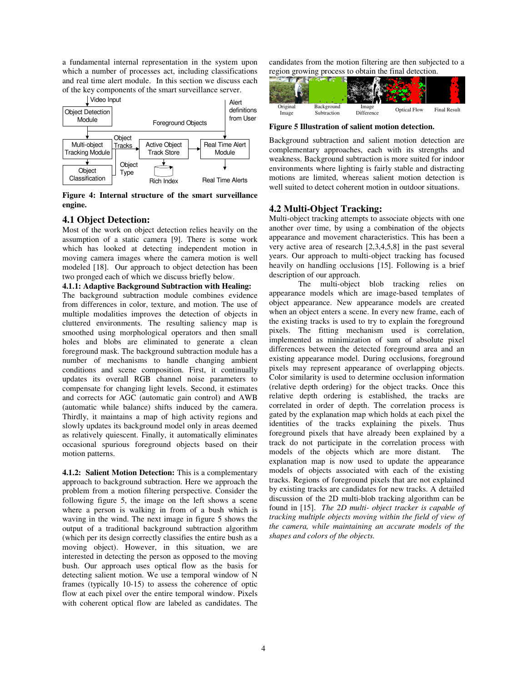a fundamental internal representation in the system upon which a number of processes act, including classifications and real time alert module. In this section we discuss each of the key components of the smart surveillance server.



**Figure 4: Internal structure of the smart surveillance engine.**

## **4.1 Object Detection:**

Most of the work on object detection relies heavily on the assumption of a static camera [9]. There is some work which has looked at detecting independent motion in moving camera images where the camera motion is well modeled [18]. Our approach to object detection has been two pronged each of which we discuss briefly below.

#### **4.1.1: Adaptive Background Subtraction with Healing:**

The background subtraction module combines evidence from differences in color, texture, and motion. The use of multiple modalities improves the detection of objects in cluttered environments. The resulting saliency map is smoothed using morphological operators and then small holes and blobs are eliminated to generate a clean foreground mask. The background subtraction module has a number of mechanisms to handle changing ambient conditions and scene composition. First, it continually updates its overall RGB channel noise parameters to compensate for changing light levels. Second, it estimates and corrects for AGC (automatic gain control) and AWB (automatic while balance) shifts induced by the camera. Thirdly, it maintains a map of high activity regions and slowly updates its background model only in areas deemed as relatively quiescent. Finally, it automatically eliminates occasional spurious foreground objects based on their motion patterns.

**4.1.2: Salient Motion Detection:** This is a complementary approach to background subtraction. Here we approach the problem from a motion filtering perspective. Consider the following figure 5, the image on the left shows a scene where a person is walking in from of a bush which is waving in the wind. The next image in figure 5 shows the output of a traditional background subtraction algorithm (which per its design correctly classifies the entire bush as a moving object). However, in this situation, we are interested in detecting the person as opposed to the moving bush. Our approach uses optical flow as the basis for detecting salient motion. We use a temporal window of N frames (typically 10-15) to assess the coherence of optic flow at each pixel over the entire temporal window. Pixels with coherent optical flow are labeled as candidates. The

candidates from the motion filtering are then subjected to a region growing process to obtain the final detection.



**Figure 5 Illustration of salient motion detection.**

Background subtraction and salient motion detection are complementary approaches, each with its strengths and weakness. Background subtraction is more suited for indoor environments where lighting is fairly stable and distracting motions are limited, whereas salient motion detection is well suited to detect coherent motion in outdoor situations.

## **4.2 Multi-Object Tracking:**

Multi-object tracking attempts to associate objects with one another over time, by using a combination of the objects appearance and movement characteristics. This has been a very active area of research [2,3,4,5,8] in the past several years. Our approach to multi-object tracking has focused heavily on handling occlusions [15]. Following is a brief description of our approach.

The multi-object blob tracking relies on appearance models which are image-based templates of object appearance. New appearance models are created when an object enters a scene. In every new frame, each of the existing tracks is used to try to explain the foreground pixels. The fitting mechanism used is correlation, implemented as minimization of sum of absolute pixel differences between the detected foreground area and an existing appearance model. During occlusions, foreground pixels may represent appearance of overlapping objects. Color similarity is used to determine occlusion information (relative depth ordering) for the object tracks. Once this relative depth ordering is established, the tracks are correlated in order of depth. The correlation process is gated by the explanation map which holds at each pixel the identities of the tracks explaining the pixels. Thus foreground pixels that have already been explained by a track do not participate in the correlation process with models of the objects which are more distant. The explanation map is now used to update the appearance models of objects associated with each of the existing tracks. Regions of foreground pixels that are not explained by existing tracks are candidates for new tracks. A detailed discussion of the 2D multi-blob tracking algorithm can be found in [15]. *The 2D multi- object tracker is capable of tracking multiple objects moving within the field of view of the camera, while maintaining an accurate models of the shapes and colors of the objects.*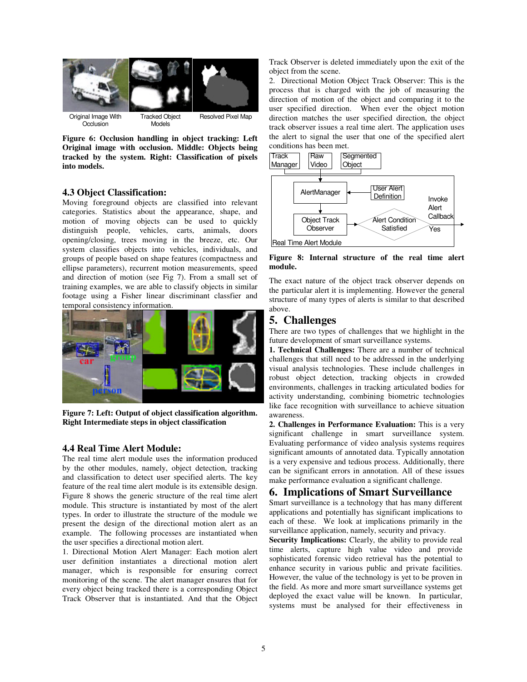

**Figure 6: Occlusion handling in object tracking: Left Original image with occlusion. Middle: Objects being tracked by the system. Right: Classification of pixels into models.**

### **4.3 Object Classification:**

Moving foreground objects are classified into relevant categories. Statistics about the appearance, shape, and motion of moving objects can be used to quickly distinguish people, vehicles, carts, animals, doors opening/closing, trees moving in the breeze, etc. Our system classifies objects into vehicles, individuals, and groups of people based on shape features (compactness and ellipse parameters), recurrent motion measurements, speed and direction of motion (see Fig 7). From a small set of training examples, we are able to classify objects in similar footage using a Fisher linear discriminant classfier and temporal consistency information.



**Figure 7: Left: Output of object classification algorithm. Right Intermediate steps in object classification**

#### **4.4 Real Time Alert Module:**

The real time alert module uses the information produced by the other modules, namely, object detection, tracking and classification to detect user specified alerts. The key feature of the real time alert module is its extensible design. Figure 8 shows the generic structure of the real time alert module. This structure is instantiated by most of the alert types. In order to illustrate the structure of the module we present the design of the directional motion alert as an example. The following processes are instantiated when the user specifies a directional motion alert.

1. Directional Motion Alert Manager: Each motion alert user definition instantiates a directional motion alert manager, which is responsible for ensuring correct monitoring of the scene. The alert manager ensures that for every object being tracked there is a corresponding Object Track Observer that is instantiated. And that the Object

Track Observer is deleted immediately upon the exit of the object from the scene.

2. Directional Motion Object Track Observer: This is the process that is charged with the job of measuring the direction of motion of the object and comparing it to the user specified direction. When ever the object motion direction matches the user specified direction, the object track observer issues a real time alert. The application uses the alert to signal the user that one of the specified alert conditions has been met.



**Figure 8: Internal structure of the real time alert module.**

The exact nature of the object track observer depends on the particular alert it is implementing. However the general structure of many types of alerts is similar to that described above.

## **5. Challenges**

There are two types of challenges that we highlight in the future development of smart surveillance systems.

**1. Technical Challenges:** There are a number of technical challenges that still need to be addressed in the underlying visual analysis technologies. These include challenges in robust object detection, tracking objects in crowded environments, challenges in tracking articulated bodies for activity understanding, combining biometric technologies like face recognition with surveillance to achieve situation awareness.

**2. Challenges in Performance Evaluation:** This is a very significant challenge in smart surveillance system. Evaluating performance of video analysis systems requires significant amounts of annotated data. Typically annotation is a very expensive and tedious process. Additionally, there can be significant errors in annotation. All of these issues make performance evaluation a significant challenge.

## **6. Implications of Smart Surveillance**

Smart surveillance is a technology that has many different applications and potentially has significant implications to each of these. We look at implications primarily in the surveillance application, namely, security and privacy.

**Security Implications:** Clearly, the ability to provide real time alerts, capture high value video and provide sophisticated forensic video retrieval has the potential to enhance security in various public and private facilities. However, the value of the technology is yet to be proven in the field. As more and more smart surveillance systems get deployed the exact value will be known. In particular, systems must be analysed for their effectiveness in